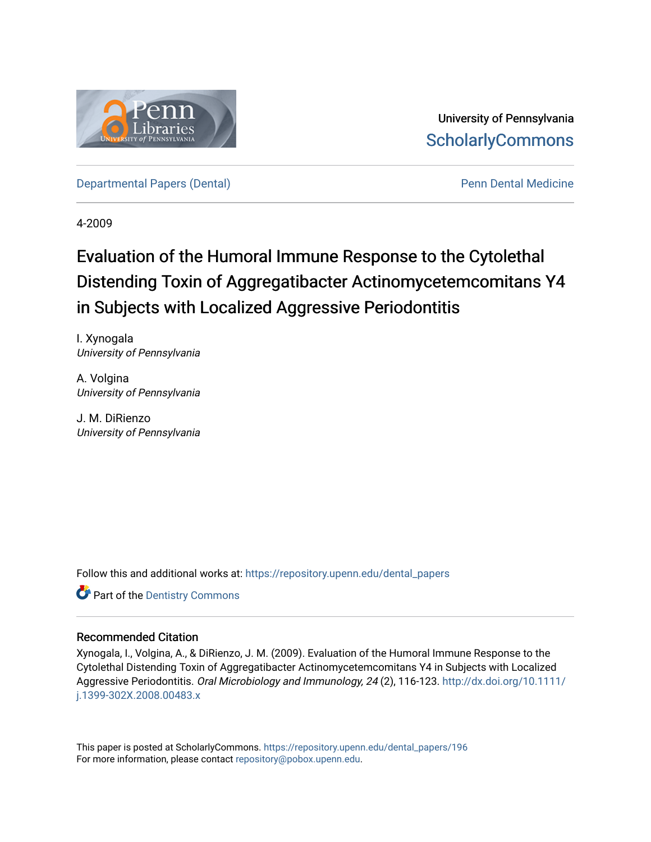

University of Pennsylvania **ScholarlyCommons** 

[Departmental Papers \(Dental\)](https://repository.upenn.edu/dental_papers) **Pennis Accord Pennis Pennis Pennis Pennis Pennis Pennis Pennis Pennis Pennis Pennis Pennis Pennis Pennis Pennis Pennis Pennis Pennis Pennis Pennis Pennis Pennis Pennis Pennis Pennis Pennis Pen** 

4-2009

# Evaluation of the Humoral Immune Response to the Cytolethal Distending Toxin of Aggregatibacter Actinomycetemcomitans Y4 in Subjects with Localized Aggressive Periodontitis

I. Xynogala University of Pennsylvania

A. Volgina University of Pennsylvania

J. M. DiRienzo University of Pennsylvania

Follow this and additional works at: [https://repository.upenn.edu/dental\\_papers](https://repository.upenn.edu/dental_papers?utm_source=repository.upenn.edu%2Fdental_papers%2F196&utm_medium=PDF&utm_campaign=PDFCoverPages)

**Part of the Dentistry Commons** 

### Recommended Citation

Xynogala, I., Volgina, A., & DiRienzo, J. M. (2009). Evaluation of the Humoral Immune Response to the Cytolethal Distending Toxin of Aggregatibacter Actinomycetemcomitans Y4 in Subjects with Localized Aggressive Periodontitis. Oral Microbiology and Immunology, 24 (2), 116-123. [http://dx.doi.org/10.1111/](http://dx.doi.org/10.1111/j.1399-302X.2008.00483.x) [j.1399-302X.2008.00483.x](http://dx.doi.org/10.1111/j.1399-302X.2008.00483.x) 

This paper is posted at ScholarlyCommons. [https://repository.upenn.edu/dental\\_papers/196](https://repository.upenn.edu/dental_papers/196)  For more information, please contact [repository@pobox.upenn.edu.](mailto:repository@pobox.upenn.edu)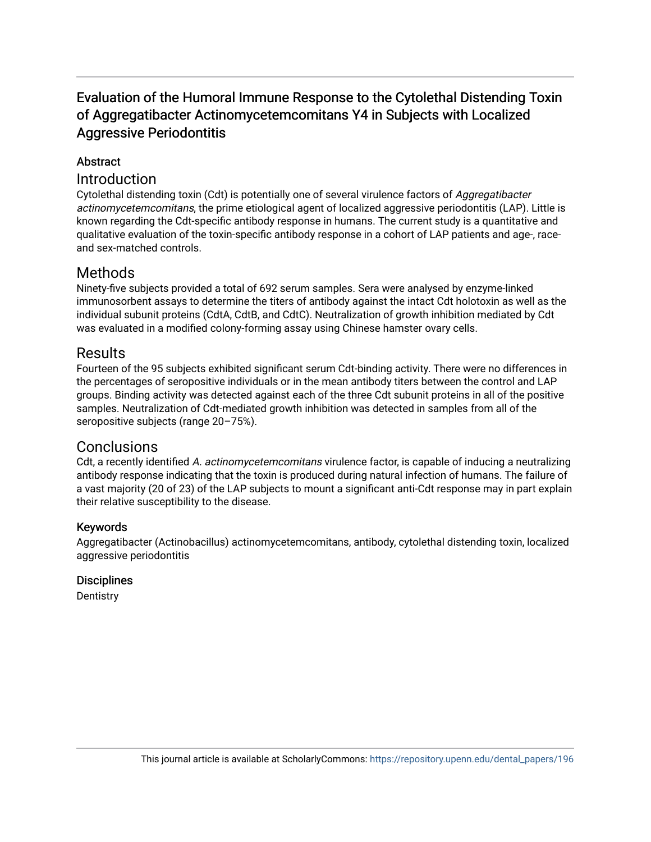# Evaluation of the Humoral Immune Response to the Cytolethal Distending Toxin of Aggregatibacter Actinomycetemcomitans Y4 in Subjects with Localized Aggressive Periodontitis

## Abstract

## Introduction

Cytolethal distending toxin (Cdt) is potentially one of several virulence factors of Aggregatibacter actinomycetemcomitans, the prime etiological agent of localized aggressive periodontitis (LAP). Little is known regarding the Cdt-specific antibody response in humans. The current study is a quantitative and qualitative evaluation of the toxin-specific antibody response in a cohort of LAP patients and age-, raceand sex-matched controls.

# Methods

Ninety-five subjects provided a total of 692 serum samples. Sera were analysed by enzyme-linked immunosorbent assays to determine the titers of antibody against the intact Cdt holotoxin as well as the individual subunit proteins (CdtA, CdtB, and CdtC). Neutralization of growth inhibition mediated by Cdt was evaluated in a modified colony-forming assay using Chinese hamster ovary cells.

## **Results**

Fourteen of the 95 subjects exhibited significant serum Cdt-binding activity. There were no differences in the percentages of seropositive individuals or in the mean antibody titers between the control and LAP groups. Binding activity was detected against each of the three Cdt subunit proteins in all of the positive samples. Neutralization of Cdt-mediated growth inhibition was detected in samples from all of the seropositive subjects (range 20–75%).

# Conclusions

Cdt, a recently identified A. actinomycetemcomitans virulence factor, is capable of inducing a neutralizing antibody response indicating that the toxin is produced during natural infection of humans. The failure of a vast majority (20 of 23) of the LAP subjects to mount a significant anti-Cdt response may in part explain their relative susceptibility to the disease.

## Keywords

Aggregatibacter (Actinobacillus) actinomycetemcomitans, antibody, cytolethal distending toxin, localized aggressive periodontitis

### **Disciplines**

**Dentistry**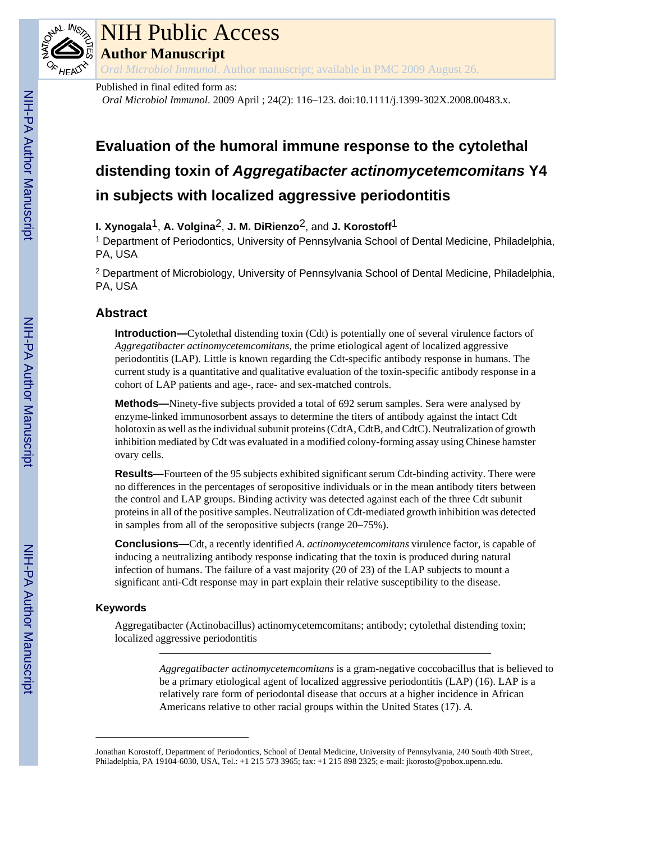

# NIH Public Access

**Author Manuscript**

*Oral Microbiol Immunol*. Author manuscript; available in PMC 2009 August 26.

Published in final edited form as:

*Oral Microbiol Immunol*. 2009 April ; 24(2): 116–123. doi:10.1111/j.1399-302X.2008.00483.x.

# **Evaluation of the humoral immune response to the cytolethal distending toxin of** *Aggregatibacter actinomycetemcomitans* **Y4 in subjects with localized aggressive periodontitis**

**I. Xynogala**1, **A. Volgina**2, **J. M. DiRienzo**2, and **J. Korostoff**1

<sup>1</sup> Department of Periodontics, University of Pennsylvania School of Dental Medicine, Philadelphia, PA, USA

<sup>2</sup> Department of Microbiology, University of Pennsylvania School of Dental Medicine, Philadelphia, PA, USA

# **Abstract**

**Introduction—**Cytolethal distending toxin (Cdt) is potentially one of several virulence factors of *Aggregatibacter actinomycetemcomitans*, the prime etiological agent of localized aggressive periodontitis (LAP). Little is known regarding the Cdt-specific antibody response in humans. The current study is a quantitative and qualitative evaluation of the toxin-specific antibody response in a cohort of LAP patients and age-, race- and sex-matched controls.

**Methods—**Ninety-five subjects provided a total of 692 serum samples. Sera were analysed by enzyme-linked immunosorbent assays to determine the titers of antibody against the intact Cdt holotoxin as well as the individual subunit proteins (CdtA, CdtB, and CdtC). Neutralization of growth inhibition mediated by Cdt was evaluated in a modified colony-forming assay using Chinese hamster ovary cells.

**Results—**Fourteen of the 95 subjects exhibited significant serum Cdt-binding activity. There were no differences in the percentages of seropositive individuals or in the mean antibody titers between the control and LAP groups. Binding activity was detected against each of the three Cdt subunit proteins in all of the positive samples. Neutralization of Cdt-mediated growth inhibition was detected in samples from all of the seropositive subjects (range 20–75%).

**Conclusions—**Cdt, a recently identified *A. actinomycetemcomitans* virulence factor, is capable of inducing a neutralizing antibody response indicating that the toxin is produced during natural infection of humans. The failure of a vast majority (20 of 23) of the LAP subjects to mount a significant anti-Cdt response may in part explain their relative susceptibility to the disease.

## **Keywords**

Aggregatibacter (Actinobacillus) actinomycetemcomitans; antibody; cytolethal distending toxin; localized aggressive periodontitis

> *Aggregatibacter actinomycetemcomitans* is a gram-negative coccobacillus that is believed to be a primary etiological agent of localized aggressive periodontitis (LAP) (16). LAP is a relatively rare form of periodontal disease that occurs at a higher incidence in African Americans relative to other racial groups within the United States (17). *A.*

Jonathan Korostoff, Department of Periodontics, School of Dental Medicine, University of Pennsylvania, 240 South 40th Street, Philadelphia, PA 19104-6030, USA, Tel.: +1 215 573 3965; fax: +1 215 898 2325; e-mail: jkorosto@pobox.upenn.edu.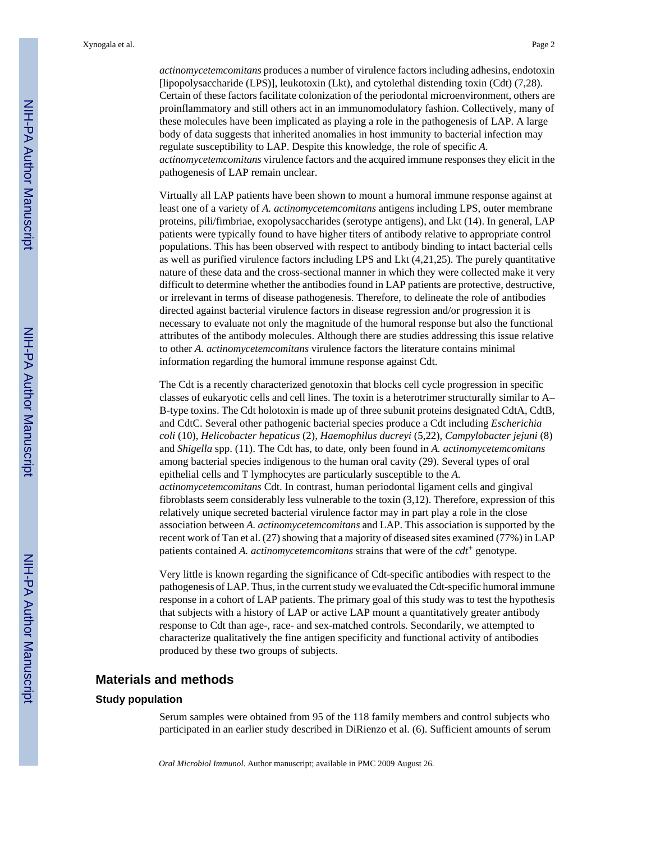*actinomycetemcomitans* produces a number of virulence factors including adhesins, endotoxin [lipopolysaccharide (LPS)], leukotoxin (Lkt), and cytolethal distending toxin (Cdt) (7,28). Certain of these factors facilitate colonization of the periodontal microenvironment, others are proinflammatory and still others act in an immunomodulatory fashion. Collectively, many of these molecules have been implicated as playing a role in the pathogenesis of LAP. A large body of data suggests that inherited anomalies in host immunity to bacterial infection may regulate susceptibility to LAP. Despite this knowledge, the role of specific *A. actinomycetemcomitans* virulence factors and the acquired immune responses they elicit in the pathogenesis of LAP remain unclear.

Virtually all LAP patients have been shown to mount a humoral immune response against at least one of a variety of *A. actinomycetemcomitans* antigens including LPS, outer membrane proteins, pili/fimbriae, exopolysaccharides (serotype antigens), and Lkt (14). In general, LAP patients were typically found to have higher titers of antibody relative to appropriate control populations. This has been observed with respect to antibody binding to intact bacterial cells as well as purified virulence factors including LPS and Lkt (4,21,25). The purely quantitative nature of these data and the cross-sectional manner in which they were collected make it very difficult to determine whether the antibodies found in LAP patients are protective, destructive, or irrelevant in terms of disease pathogenesis. Therefore, to delineate the role of antibodies directed against bacterial virulence factors in disease regression and/or progression it is necessary to evaluate not only the magnitude of the humoral response but also the functional attributes of the antibody molecules. Although there are studies addressing this issue relative to other *A. actinomycetemcomitans* virulence factors the literature contains minimal information regarding the humoral immune response against Cdt.

The Cdt is a recently characterized genotoxin that blocks cell cycle progression in specific classes of eukaryotic cells and cell lines. The toxin is a heterotrimer structurally similar to A– B-type toxins. The Cdt holotoxin is made up of three subunit proteins designated CdtA, CdtB, and CdtC. Several other pathogenic bacterial species produce a Cdt including *Escherichia coli* (10), *Helicobacter hepaticus* (2)*, Haemophilus ducreyi* (5,22), *Campylobacter jejuni* (8) and *Shigella* spp. (11). The Cdt has, to date, only been found in *A. actinomycetemcomitans* among bacterial species indigenous to the human oral cavity (29). Several types of oral epithelial cells and T lymphocytes are particularly susceptible to the *A. actinomycetemcomitans* Cdt. In contrast, human periodontal ligament cells and gingival fibroblasts seem considerably less vulnerable to the toxin (3,12). Therefore, expression of this relatively unique secreted bacterial virulence factor may in part play a role in the close association between *A. actinomycetemcomitans* and LAP. This association is supported by the recent work of Tan et al. (27) showing that a majority of diseased sites examined (77%) in LAP patients contained *A. actinomycetemcomitans* strains that were of the *cdt*+ genotype.

Very little is known regarding the significance of Cdt-specific antibodies with respect to the pathogenesis of LAP. Thus, in the current study we evaluated the Cdt-specific humoral immune response in a cohort of LAP patients. The primary goal of this study was to test the hypothesis that subjects with a history of LAP or active LAP mount a quantitatively greater antibody response to Cdt than age-, race- and sex-matched controls. Secondarily, we attempted to characterize qualitatively the fine antigen specificity and functional activity of antibodies produced by these two groups of subjects.

#### **Materials and methods**

#### **Study population**

Serum samples were obtained from 95 of the 118 family members and control subjects who participated in an earlier study described in DiRienzo et al. (6). Sufficient amounts of serum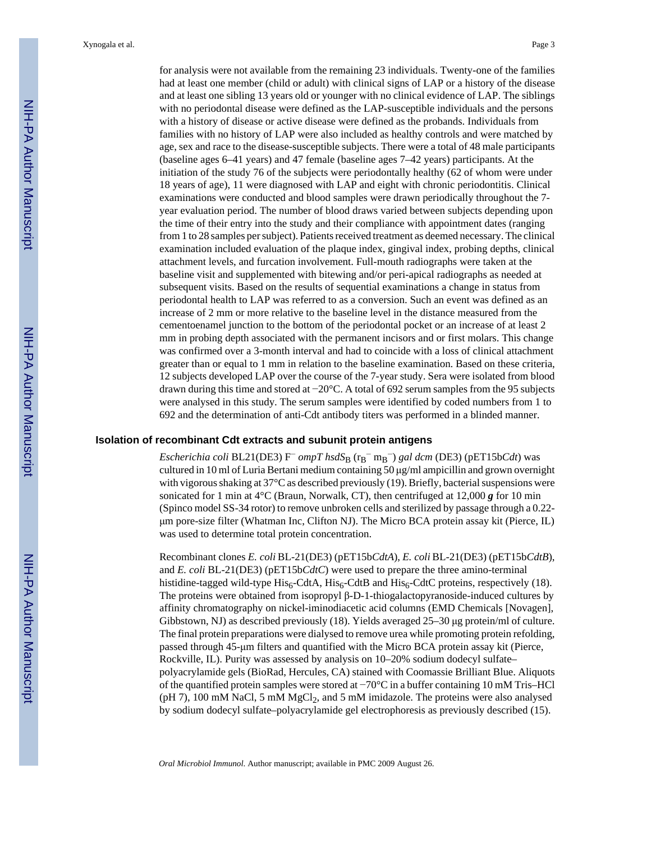for analysis were not available from the remaining 23 individuals. Twenty-one of the families had at least one member (child or adult) with clinical signs of LAP or a history of the disease and at least one sibling 13 years old or younger with no clinical evidence of LAP. The siblings with no periodontal disease were defined as the LAP-susceptible individuals and the persons with a history of disease or active disease were defined as the probands. Individuals from families with no history of LAP were also included as healthy controls and were matched by age, sex and race to the disease-susceptible subjects. There were a total of 48 male participants (baseline ages 6–41 years) and 47 female (baseline ages 7–42 years) participants. At the initiation of the study 76 of the subjects were periodontally healthy (62 of whom were under 18 years of age), 11 were diagnosed with LAP and eight with chronic periodontitis. Clinical examinations were conducted and blood samples were drawn periodically throughout the 7 year evaluation period. The number of blood draws varied between subjects depending upon the time of their entry into the study and their compliance with appointment dates (ranging from 1 to 28 samples per subject). Patients received treatment as deemed necessary. The clinical examination included evaluation of the plaque index, gingival index, probing depths, clinical attachment levels, and furcation involvement. Full-mouth radiographs were taken at the baseline visit and supplemented with bitewing and/or peri-apical radiographs as needed at subsequent visits. Based on the results of sequential examinations a change in status from periodontal health to LAP was referred to as a conversion. Such an event was defined as an increase of 2 mm or more relative to the baseline level in the distance measured from the cementoenamel junction to the bottom of the periodontal pocket or an increase of at least 2 mm in probing depth associated with the permanent incisors and or first molars. This change was confirmed over a 3-month interval and had to coincide with a loss of clinical attachment greater than or equal to 1 mm in relation to the baseline examination. Based on these criteria, 12 subjects developed LAP over the course of the 7-year study. Sera were isolated from blood drawn during this time and stored at −20°C. A total of 692 serum samples from the 95 subjects were analysed in this study. The serum samples were identified by coded numbers from 1 to 692 and the determination of anti-Cdt antibody titers was performed in a blinded manner.

#### **Isolation of recombinant Cdt extracts and subunit protein antigens**

*Escherichia coli* BL21(DE3) F<sup>−</sup> *ompT hsdS*B (r<sup>B</sup> <sup>−</sup> m<sup>B</sup> <sup>−</sup>) *gal dcm* (DE3) (pET15b*Cdt*) was cultured in 10 ml of Luria Bertani medium containing 50 μg/ml ampicillin and grown overnight with vigorous shaking at 37°C as described previously (19). Briefly, bacterial suspensions were sonicated for 1 min at 4°C (Braun, Norwalk, CT), then centrifuged at 12,000 *g* for 10 min (Spinco model SS-34 rotor) to remove unbroken cells and sterilized by passage through a 0.22 μm pore-size filter (Whatman Inc, Clifton NJ). The Micro BCA protein assay kit (Pierce, IL) was used to determine total protein concentration.

Recombinant clones *E. coli* BL-21(DE3) (pET15b*CdtA*), *E. coli* BL-21(DE3) (pET15b*CdtB*), and *E. coli* BL-21(DE3) (pET15b*CdtC*) were used to prepare the three amino-terminal histidine-tagged wild-type  $His<sub>6</sub>-CdtA$ ,  $His<sub>6</sub>-CdtB$  and  $His<sub>6</sub>-CdtC$  proteins, respectively (18). The proteins were obtained from isopropyl β-D-1-thiogalactopyranoside-induced cultures by affinity chromatography on nickel-iminodiacetic acid columns (EMD Chemicals [Novagen], Gibbstown, NJ) as described previously (18). Yields averaged 25–30 μg protein/ml of culture. The final protein preparations were dialysed to remove urea while promoting protein refolding, passed through 45-μm filters and quantified with the Micro BCA protein assay kit (Pierce, Rockville, IL). Purity was assessed by analysis on 10–20% sodium dodecyl sulfate– polyacrylamide gels (BioRad, Hercules, CA) stained with Coomassie Brilliant Blue. Aliquots of the quantified protein samples were stored at −70°C in a buffer containing 10 mM Tris–HCl ( $pH$  7), 100 mM NaCl, 5 mM MgCl<sub>2</sub>, and 5 mM imidazole. The proteins were also analysed by sodium dodecyl sulfate–polyacrylamide gel electrophoresis as previously described (15).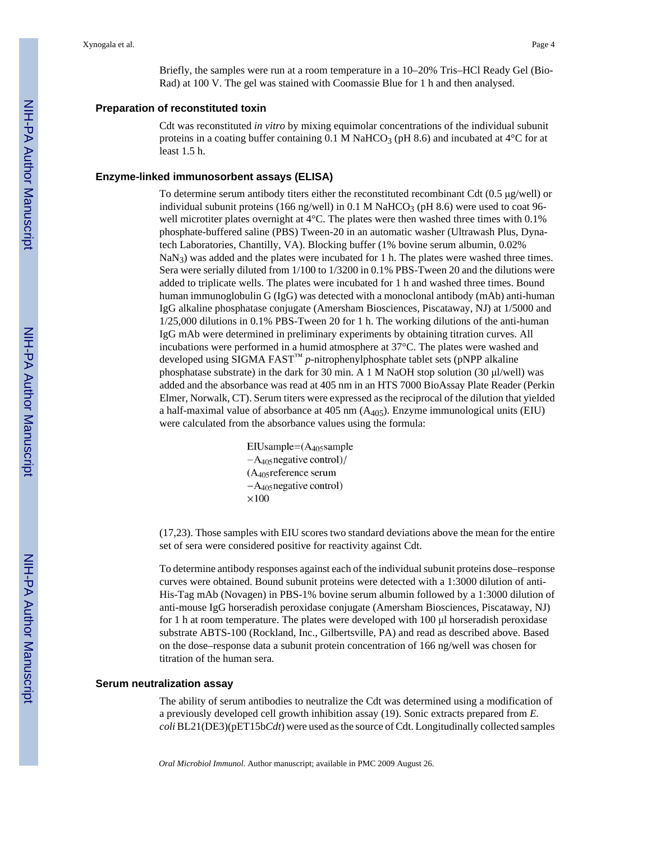Briefly, the samples were run at a room temperature in a 10–20% Tris–HCl Ready Gel (Bio-Rad) at 100 V. The gel was stained with Coomassie Blue for 1 h and then analysed.

#### **Preparation of reconstituted toxin**

Cdt was reconstituted *in vitro* by mixing equimolar concentrations of the individual subunit proteins in a coating buffer containing 0.1 M NaHCO<sub>3</sub> (pH 8.6) and incubated at  $4^{\circ}$ C for at least 1.5 h.

#### **Enzyme-linked immunosorbent assays (ELISA)**

To determine serum antibody titers either the reconstituted recombinant Cdt (0.5 μg/well) or individual subunit proteins (166 ng/well) in 0.1 M NaHCO<sub>3</sub> (pH 8.6) were used to coat 96well microtiter plates overnight at 4°C. The plates were then washed three times with 0.1% phosphate-buffered saline (PBS) Tween-20 in an automatic washer (Ultrawash Plus, Dynatech Laboratories, Chantilly, VA). Blocking buffer (1% bovine serum albumin, 0.02% NaN<sub>3</sub>) was added and the plates were incubated for 1 h. The plates were washed three times. Sera were serially diluted from 1/100 to 1/3200 in 0.1% PBS-Tween 20 and the dilutions were added to triplicate wells. The plates were incubated for 1 h and washed three times. Bound human immunoglobulin G (IgG) was detected with a monoclonal antibody (mAb) anti-human IgG alkaline phosphatase conjugate (Amersham Biosciences, Piscataway, NJ) at 1/5000 and 1/25,000 dilutions in 0.1% PBS-Tween 20 for 1 h. The working dilutions of the anti-human IgG mAb were determined in preliminary experiments by obtaining titration curves. All incubations were performed in a humid atmosphere at 37°C. The plates were washed and developed using SIGMA FAST™ *p*-nitrophenylphosphate tablet sets (pNPP alkaline phosphatase substrate) in the dark for 30 min. A 1 M NaOH stop solution (30 µl/well) was added and the absorbance was read at 405 nm in an HTS 7000 BioAssay Plate Reader (Perkin Elmer, Norwalk, CT). Serum titers were expressed as the reciprocal of the dilution that yielded a half-maximal value of absorbance at  $405 \text{ nm}$  ( $A_{405}$ ). Enzyme immunological units (EIU) were calculated from the absorbance values using the formula:

> $E$ IUsample= $(A_{405}$ sample  $-A_{405}$  negative control)/  $(A_{405}$ reference serum  $-A_{405}$  negative control)  $\times$ 100

(17,23). Those samples with EIU scores two standard deviations above the mean for the entire set of sera were considered positive for reactivity against Cdt.

To determine antibody responses against each of the individual subunit proteins dose–response curves were obtained. Bound subunit proteins were detected with a 1:3000 dilution of anti-His-Tag mAb (Novagen) in PBS-1% bovine serum albumin followed by a 1:3000 dilution of anti-mouse IgG horseradish peroxidase conjugate (Amersham Biosciences, Piscataway, NJ) for 1 h at room temperature. The plates were developed with 100 μl horseradish peroxidase substrate ABTS-100 (Rockland, Inc., Gilbertsville, PA) and read as described above. Based on the dose–response data a subunit protein concentration of 166 ng/well was chosen for titration of the human sera.

#### **Serum neutralization assay**

The ability of serum antibodies to neutralize the Cdt was determined using a modification of a previously developed cell growth inhibition assay (19). Sonic extracts prepared from *E. coli* BL21(DE3)(pET15b*Cdt*) were used as the source of Cdt. Longitudinally collected samples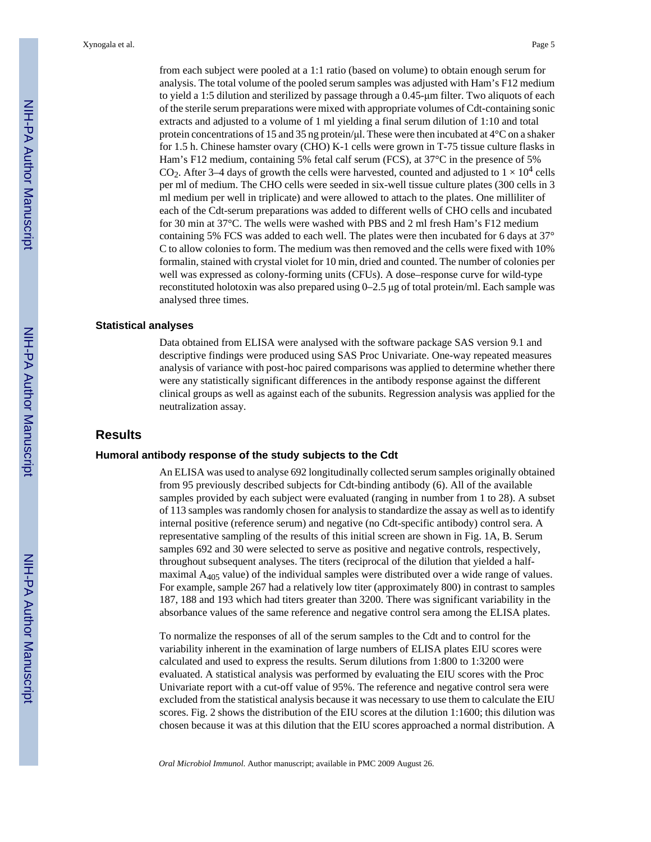from each subject were pooled at a 1:1 ratio (based on volume) to obtain enough serum for analysis. The total volume of the pooled serum samples was adjusted with Ham's F12 medium to yield a 1:5 dilution and sterilized by passage through a 0.45-μm filter. Two aliquots of each of the sterile serum preparations were mixed with appropriate volumes of Cdt-containing sonic extracts and adjusted to a volume of 1 ml yielding a final serum dilution of 1:10 and total protein concentrations of 15 and 35 ng protein/μl. These were then incubated at 4°C on a shaker for 1.5 h. Chinese hamster ovary (CHO) K-1 cells were grown in T-75 tissue culture flasks in Ham's F12 medium, containing 5% fetal calf serum (FCS), at 37°C in the presence of 5% CO<sub>2</sub>. After 3–4 days of growth the cells were harvested, counted and adjusted to  $1 \times 10^4$  cells per ml of medium. The CHO cells were seeded in six-well tissue culture plates (300 cells in 3 ml medium per well in triplicate) and were allowed to attach to the plates. One milliliter of each of the Cdt-serum preparations was added to different wells of CHO cells and incubated for 30 min at 37°C. The wells were washed with PBS and 2 ml fresh Ham's F12 medium containing 5% FCS was added to each well. The plates were then incubated for 6 days at 37° C to allow colonies to form. The medium was then removed and the cells were fixed with 10% formalin, stained with crystal violet for 10 min, dried and counted. The number of colonies per well was expressed as colony-forming units (CFUs). A dose–response curve for wild-type reconstituted holotoxin was also prepared using 0–2.5 μg of total protein/ml. Each sample was analysed three times.

#### **Statistical analyses**

Data obtained from ELISA were analysed with the software package SAS version 9.1 and descriptive findings were produced using SAS Proc Univariate. One-way repeated measures analysis of variance with post-hoc paired comparisons was applied to determine whether there were any statistically significant differences in the antibody response against the different clinical groups as well as against each of the subunits. Regression analysis was applied for the neutralization assay.

#### **Results**

#### **Humoral antibody response of the study subjects to the Cdt**

An ELISA was used to analyse 692 longitudinally collected serum samples originally obtained from 95 previously described subjects for Cdt-binding antibody (6). All of the available samples provided by each subject were evaluated (ranging in number from 1 to 28). A subset of 113 samples was randomly chosen for analysis to standardize the assay as well as to identify internal positive (reference serum) and negative (no Cdt-specific antibody) control sera. A representative sampling of the results of this initial screen are shown in Fig. 1A, B. Serum samples 692 and 30 were selected to serve as positive and negative controls, respectively, throughout subsequent analyses. The titers (reciprocal of the dilution that yielded a halfmaximal  $A_{405}$  value) of the individual samples were distributed over a wide range of values. For example, sample 267 had a relatively low titer (approximately 800) in contrast to samples 187, 188 and 193 which had titers greater than 3200. There was significant variability in the absorbance values of the same reference and negative control sera among the ELISA plates.

To normalize the responses of all of the serum samples to the Cdt and to control for the variability inherent in the examination of large numbers of ELISA plates EIU scores were calculated and used to express the results. Serum dilutions from 1:800 to 1:3200 were evaluated. A statistical analysis was performed by evaluating the EIU scores with the Proc Univariate report with a cut-off value of 95%. The reference and negative control sera were excluded from the statistical analysis because it was necessary to use them to calculate the EIU scores. Fig. 2 shows the distribution of the EIU scores at the dilution 1:1600; this dilution was chosen because it was at this dilution that the EIU scores approached a normal distribution. A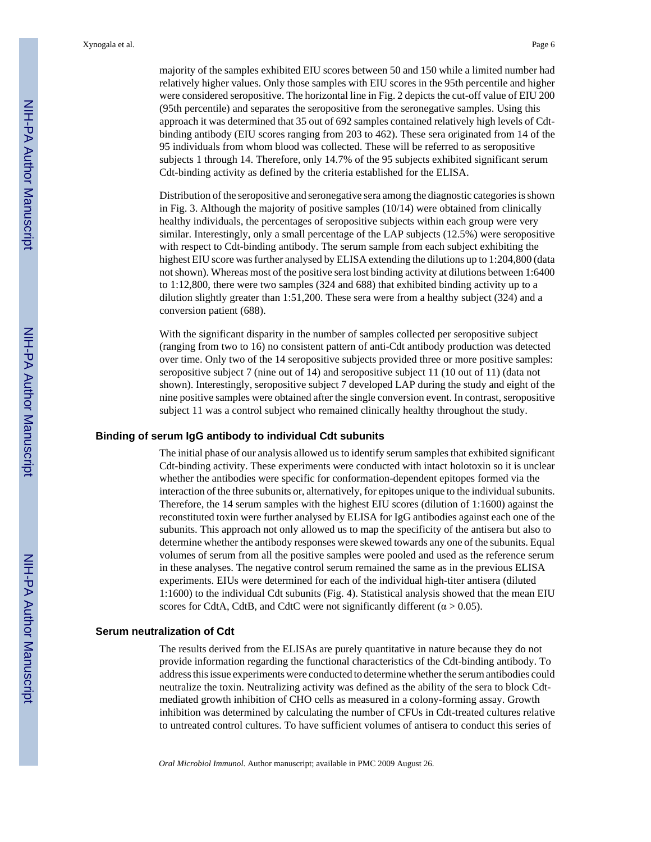majority of the samples exhibited EIU scores between 50 and 150 while a limited number had relatively higher values. Only those samples with EIU scores in the 95th percentile and higher were considered seropositive. The horizontal line in Fig. 2 depicts the cut-off value of EIU 200 (95th percentile) and separates the seropositive from the seronegative samples. Using this approach it was determined that 35 out of 692 samples contained relatively high levels of Cdtbinding antibody (EIU scores ranging from 203 to 462). These sera originated from 14 of the 95 individuals from whom blood was collected. These will be referred to as seropositive subjects 1 through 14. Therefore, only 14.7% of the 95 subjects exhibited significant serum Cdt-binding activity as defined by the criteria established for the ELISA.

Distribution of the seropositive and seronegative sera among the diagnostic categories is shown in Fig. 3. Although the majority of positive samples (10/14) were obtained from clinically healthy individuals, the percentages of seropositive subjects within each group were very similar. Interestingly, only a small percentage of the LAP subjects (12.5%) were seropositive with respect to Cdt-binding antibody. The serum sample from each subject exhibiting the highest EIU score was further analysed by ELISA extending the dilutions up to 1:204,800 (data not shown). Whereas most of the positive sera lost binding activity at dilutions between 1:6400 to 1:12,800, there were two samples (324 and 688) that exhibited binding activity up to a dilution slightly greater than 1:51,200. These sera were from a healthy subject (324) and a conversion patient (688).

With the significant disparity in the number of samples collected per seropositive subject (ranging from two to 16) no consistent pattern of anti-Cdt antibody production was detected over time. Only two of the 14 seropositive subjects provided three or more positive samples: seropositive subject 7 (nine out of 14) and seropositive subject 11 (10 out of 11) (data not shown). Interestingly, seropositive subject 7 developed LAP during the study and eight of the nine positive samples were obtained after the single conversion event. In contrast, seropositive subject 11 was a control subject who remained clinically healthy throughout the study.

#### **Binding of serum IgG antibody to individual Cdt subunits**

The initial phase of our analysis allowed us to identify serum samples that exhibited significant Cdt-binding activity. These experiments were conducted with intact holotoxin so it is unclear whether the antibodies were specific for conformation-dependent epitopes formed via the interaction of the three subunits or, alternatively, for epitopes unique to the individual subunits. Therefore, the 14 serum samples with the highest EIU scores (dilution of 1:1600) against the reconstituted toxin were further analysed by ELISA for IgG antibodies against each one of the subunits. This approach not only allowed us to map the specificity of the antisera but also to determine whether the antibody responses were skewed towards any one of the subunits. Equal volumes of serum from all the positive samples were pooled and used as the reference serum in these analyses. The negative control serum remained the same as in the previous ELISA experiments. EIUs were determined for each of the individual high-titer antisera (diluted 1:1600) to the individual Cdt subunits (Fig. 4). Statistical analysis showed that the mean EIU scores for CdtA, CdtB, and CdtC were not significantly different ( $\alpha$  > 0.05).

#### **Serum neutralization of Cdt**

The results derived from the ELISAs are purely quantitative in nature because they do not provide information regarding the functional characteristics of the Cdt-binding antibody. To address this issue experiments were conducted to determine whether the serum antibodies could neutralize the toxin. Neutralizing activity was defined as the ability of the sera to block Cdtmediated growth inhibition of CHO cells as measured in a colony-forming assay. Growth inhibition was determined by calculating the number of CFUs in Cdt-treated cultures relative to untreated control cultures. To have sufficient volumes of antisera to conduct this series of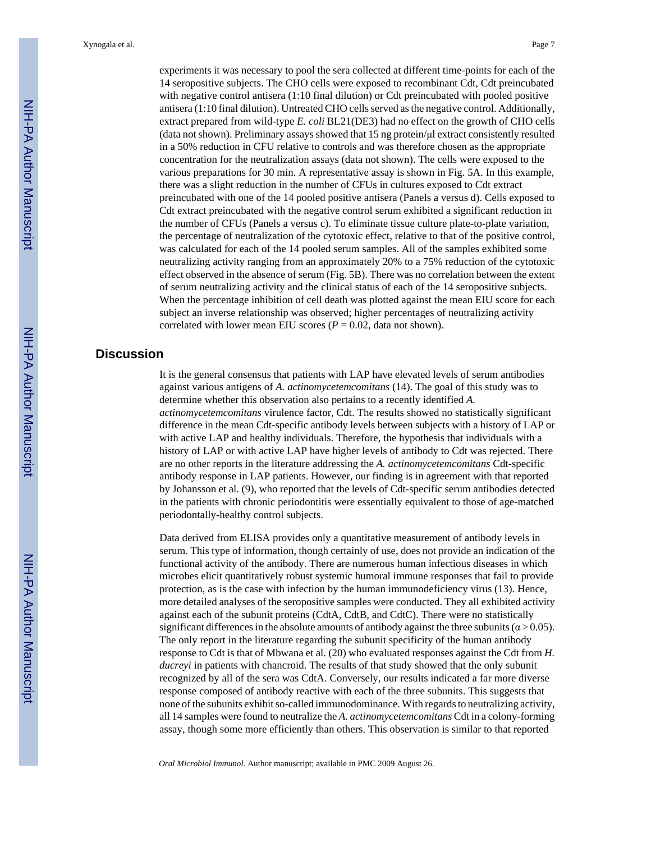experiments it was necessary to pool the sera collected at different time-points for each of the 14 seropositive subjects. The CHO cells were exposed to recombinant Cdt, Cdt preincubated with negative control antisera (1:10 final dilution) or Cdt preincubated with pooled positive antisera (1:10 final dilution). Untreated CHO cells served as the negative control. Additionally, extract prepared from wild-type *E. coli* BL21(DE3) had no effect on the growth of CHO cells (data not shown). Preliminary assays showed that 15 ng protein/μl extract consistently resulted in a 50% reduction in CFU relative to controls and was therefore chosen as the appropriate concentration for the neutralization assays (data not shown). The cells were exposed to the various preparations for 30 min. A representative assay is shown in Fig. 5A. In this example, there was a slight reduction in the number of CFUs in cultures exposed to Cdt extract preincubated with one of the 14 pooled positive antisera (Panels a versus d). Cells exposed to Cdt extract preincubated with the negative control serum exhibited a significant reduction in the number of CFUs (Panels a versus c). To eliminate tissue culture plate-to-plate variation, the percentage of neutralization of the cytotoxic effect, relative to that of the positive control, was calculated for each of the 14 pooled serum samples. All of the samples exhibited some neutralizing activity ranging from an approximately 20% to a 75% reduction of the cytotoxic effect observed in the absence of serum (Fig. 5B). There was no correlation between the extent of serum neutralizing activity and the clinical status of each of the 14 seropositive subjects. When the percentage inhibition of cell death was plotted against the mean EIU score for each subject an inverse relationship was observed; higher percentages of neutralizing activity correlated with lower mean EIU scores ( $P = 0.02$ , data not shown).

#### **Discussion**

It is the general consensus that patients with LAP have elevated levels of serum antibodies against various antigens of *A. actinomycetemcomitans* (14). The goal of this study was to determine whether this observation also pertains to a recently identified *A. actinomycetemcomitans* virulence factor, Cdt. The results showed no statistically significant difference in the mean Cdt-specific antibody levels between subjects with a history of LAP or with active LAP and healthy individuals. Therefore, the hypothesis that individuals with a history of LAP or with active LAP have higher levels of antibody to Cdt was rejected. There are no other reports in the literature addressing the *A. actinomycetemcomitans* Cdt-specific antibody response in LAP patients. However, our finding is in agreement with that reported by Johansson et al. (9), who reported that the levels of Cdt-specific serum antibodies detected in the patients with chronic periodontitis were essentially equivalent to those of age-matched periodontally-healthy control subjects.

Data derived from ELISA provides only a quantitative measurement of antibody levels in serum. This type of information, though certainly of use, does not provide an indication of the functional activity of the antibody. There are numerous human infectious diseases in which microbes elicit quantitatively robust systemic humoral immune responses that fail to provide protection, as is the case with infection by the human immunodeficiency virus (13). Hence, more detailed analyses of the seropositive samples were conducted. They all exhibited activity against each of the subunit proteins (CdtA, CdtB, and CdtC). There were no statistically significant differences in the absolute amounts of antibody against the three subunits ( $\alpha$  > 0.05). The only report in the literature regarding the subunit specificity of the human antibody response to Cdt is that of Mbwana et al. (20) who evaluated responses against the Cdt from *H. ducreyi* in patients with chancroid. The results of that study showed that the only subunit recognized by all of the sera was CdtA. Conversely, our results indicated a far more diverse response composed of antibody reactive with each of the three subunits. This suggests that none of the subunits exhibit so-called immunodominance. With regards to neutralizing activity, all 14 samples were found to neutralize the *A. actinomycetemcomitans* Cdt in a colony-forming assay, though some more efficiently than others. This observation is similar to that reported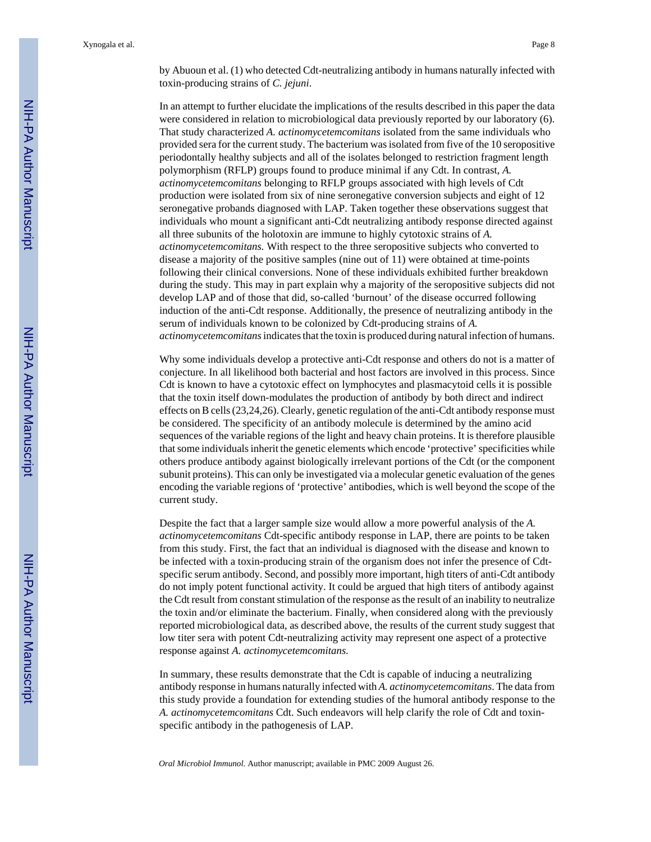by Abuoun et al. (1) who detected Cdt-neutralizing antibody in humans naturally infected with toxin-producing strains of *C. jejuni*.

In an attempt to further elucidate the implications of the results described in this paper the data were considered in relation to microbiological data previously reported by our laboratory (6). That study characterized *A. actinomycetemcomitans* isolated from the same individuals who provided sera for the current study. The bacterium was isolated from five of the 10 seropositive periodontally healthy subjects and all of the isolates belonged to restriction fragment length polymorphism (RFLP) groups found to produce minimal if any Cdt. In contrast, *A. actinomycetemcomitans* belonging to RFLP groups associated with high levels of Cdt production were isolated from six of nine seronegative conversion subjects and eight of 12 seronegative probands diagnosed with LAP. Taken together these observations suggest that individuals who mount a significant anti-Cdt neutralizing antibody response directed against all three subunits of the holotoxin are immune to highly cytotoxic strains of *A. actinomycetemcomitans.* With respect to the three seropositive subjects who converted to disease a majority of the positive samples (nine out of 11) were obtained at time-points following their clinical conversions. None of these individuals exhibited further breakdown during the study. This may in part explain why a majority of the seropositive subjects did not develop LAP and of those that did, so-called 'burnout' of the disease occurred following induction of the anti-Cdt response. Additionally, the presence of neutralizing antibody in the serum of individuals known to be colonized by Cdt-producing strains of *A. actinomycetemcomitans* indicates that the toxin is produced during natural infection of humans.

Why some individuals develop a protective anti-Cdt response and others do not is a matter of conjecture. In all likelihood both bacterial and host factors are involved in this process. Since Cdt is known to have a cytotoxic effect on lymphocytes and plasmacytoid cells it is possible that the toxin itself down-modulates the production of antibody by both direct and indirect effects on B cells (23,24,26). Clearly, genetic regulation of the anti-Cdt antibody response must be considered. The specificity of an antibody molecule is determined by the amino acid sequences of the variable regions of the light and heavy chain proteins. It is therefore plausible that some individuals inherit the genetic elements which encode 'protective' specificities while others produce antibody against biologically irrelevant portions of the Cdt (or the component subunit proteins). This can only be investigated via a molecular genetic evaluation of the genes encoding the variable regions of 'protective' antibodies, which is well beyond the scope of the current study.

Despite the fact that a larger sample size would allow a more powerful analysis of the *A. actinomycetemcomitans* Cdt-specific antibody response in LAP, there are points to be taken from this study. First, the fact that an individual is diagnosed with the disease and known to be infected with a toxin-producing strain of the organism does not infer the presence of Cdtspecific serum antibody. Second, and possibly more important, high titers of anti-Cdt antibody do not imply potent functional activity. It could be argued that high titers of antibody against the Cdt result from constant stimulation of the response as the result of an inability to neutralize the toxin and/or eliminate the bacterium. Finally, when considered along with the previously reported microbiological data, as described above, the results of the current study suggest that low titer sera with potent Cdt-neutralizing activity may represent one aspect of a protective response against *A. actinomycetemcomitans.*

In summary, these results demonstrate that the Cdt is capable of inducing a neutralizing antibody response in humans naturally infected with *A. actinomycetemcomitans*. The data from this study provide a foundation for extending studies of the humoral antibody response to the *A. actinomycetemcomitans* Cdt. Such endeavors will help clarify the role of Cdt and toxinspecific antibody in the pathogenesis of LAP.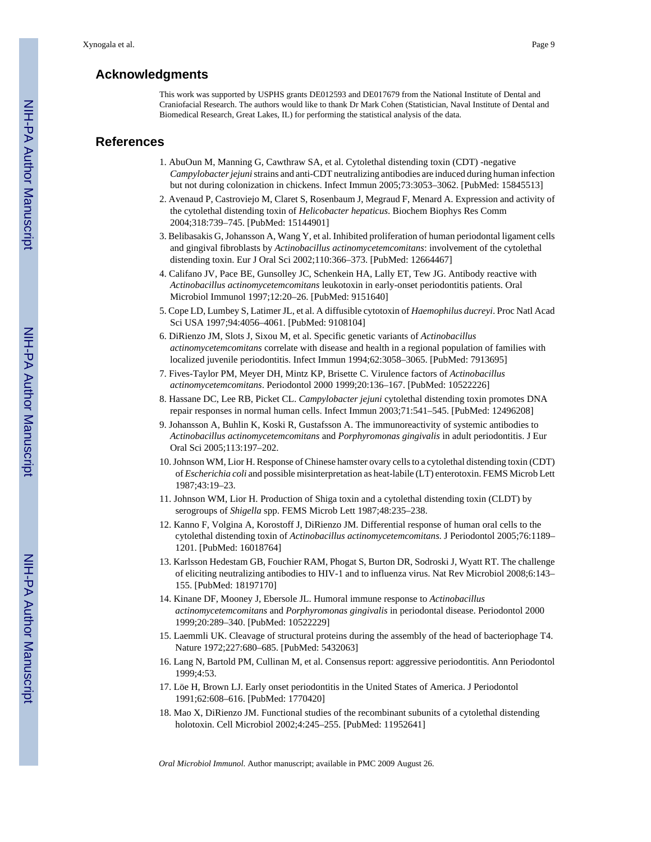#### **Acknowledgments**

This work was supported by USPHS grants DE012593 and DE017679 from the National Institute of Dental and Craniofacial Research. The authors would like to thank Dr Mark Cohen (Statistician, Naval Institute of Dental and Biomedical Research, Great Lakes, IL) for performing the statistical analysis of the data.

#### **References**

- 1. AbuOun M, Manning G, Cawthraw SA, et al. Cytolethal distending toxin (CDT) -negative *Campylobacter jejuni* strains and anti-CDT neutralizing antibodies are induced during human infection but not during colonization in chickens. Infect Immun 2005;73:3053–3062. [PubMed: 15845513]
- 2. Avenaud P, Castroviejo M, Claret S, Rosenbaum J, Megraud F, Menard A. Expression and activity of the cytolethal distending toxin of *Helicobacter hepaticus*. Biochem Biophys Res Comm 2004;318:739–745. [PubMed: 15144901]
- 3. Belibasakis G, Johansson A, Wang Y, et al. Inhibited proliferation of human periodontal ligament cells and gingival fibroblasts by *Actinobacillus actinomycetemcomitans*: involvement of the cytolethal distending toxin. Eur J Oral Sci 2002;110:366–373. [PubMed: 12664467]
- 4. Califano JV, Pace BE, Gunsolley JC, Schenkein HA, Lally ET, Tew JG. Antibody reactive with *Actinobacillus actinomycetemcomitans* leukotoxin in early-onset periodontitis patients. Oral Microbiol Immunol 1997;12:20–26. [PubMed: 9151640]
- 5. Cope LD, Lumbey S, Latimer JL, et al. A diffusible cytotoxin of *Haemophilus ducreyi*. Proc Natl Acad Sci USA 1997;94:4056–4061. [PubMed: 9108104]
- 6. DiRienzo JM, Slots J, Sixou M, et al. Specific genetic variants of *Actinobacillus actinomycetemcomitans* correlate with disease and health in a regional population of families with localized juvenile periodontitis. Infect Immun 1994;62:3058–3065. [PubMed: 7913695]
- 7. Fives-Taylor PM, Meyer DH, Mintz KP, Brisette C. Virulence factors of *Actinobacillus actinomycetemcomitans*. Periodontol 2000 1999;20:136–167. [PubMed: 10522226]
- 8. Hassane DC, Lee RB, Picket CL. *Campylobacter jejuni* cytolethal distending toxin promotes DNA repair responses in normal human cells. Infect Immun 2003;71:541–545. [PubMed: 12496208]
- 9. Johansson A, Buhlin K, Koski R, Gustafsson A. The immunoreactivity of systemic antibodies to *Actinobacillus actinomycetemcomitans* and *Porphyromonas gingivalis* in adult periodontitis. J Eur Oral Sci 2005;113:197–202.
- 10. Johnson WM, Lior H. Response of Chinese hamster ovary cells to a cytolethal distending toxin (CDT) of *Escherichia coli* and possible misinterpretation as heat-labile (LT) enterotoxin. FEMS Microb Lett 1987;43:19–23.
- 11. Johnson WM, Lior H. Production of Shiga toxin and a cytolethal distending toxin (CLDT) by serogroups of *Shigella* spp. FEMS Microb Lett 1987;48:235–238.
- 12. Kanno F, Volgina A, Korostoff J, DiRienzo JM. Differential response of human oral cells to the cytolethal distending toxin of *Actinobacillus actinomycetemcomitans*. J Periodontol 2005;76:1189– 1201. [PubMed: 16018764]
- 13. Karlsson Hedestam GB, Fouchier RAM, Phogat S, Burton DR, Sodroski J, Wyatt RT. The challenge of eliciting neutralizing antibodies to HIV-1 and to influenza virus. Nat Rev Microbiol 2008;6:143– 155. [PubMed: 18197170]
- 14. Kinane DF, Mooney J, Ebersole JL. Humoral immune response to *Actinobacillus actinomycetemcomitans* and *Porphyromonas gingivalis* in periodontal disease. Periodontol 2000 1999;20:289–340. [PubMed: 10522229]
- 15. Laemmli UK. Cleavage of structural proteins during the assembly of the head of bacteriophage T4. Nature 1972;227:680–685. [PubMed: 5432063]
- 16. Lang N, Bartold PM, Cullinan M, et al. Consensus report: aggressive periodontitis. Ann Periodontol 1999;4:53.
- 17. Löe H, Brown LJ. Early onset periodontitis in the United States of America. J Periodontol 1991;62:608–616. [PubMed: 1770420]
- 18. Mao X, DiRienzo JM. Functional studies of the recombinant subunits of a cytolethal distending holotoxin. Cell Microbiol 2002;4:245–255. [PubMed: 11952641]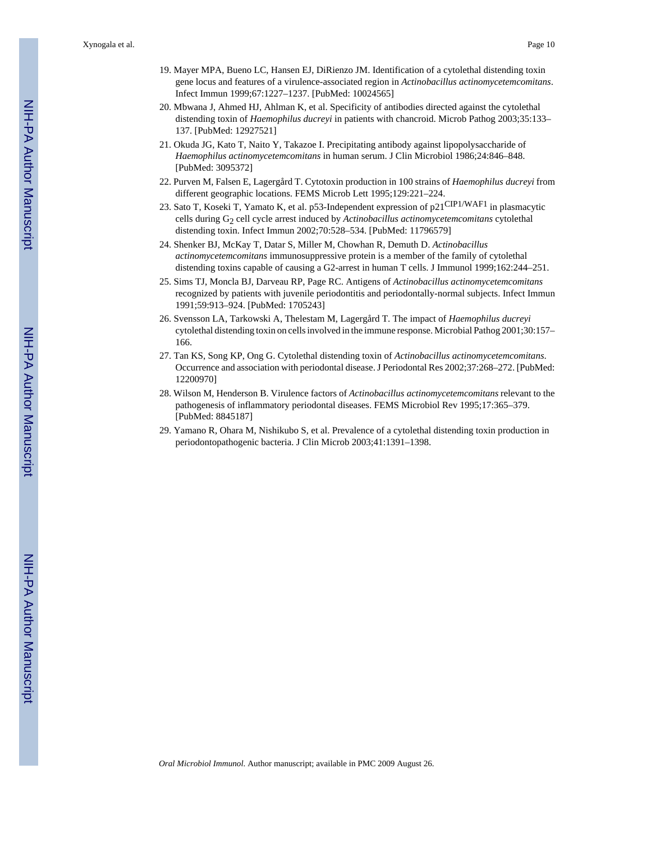Xynogala et al. Page 10

- 19. Mayer MPA, Bueno LC, Hansen EJ, DiRienzo JM. Identification of a cytolethal distending toxin gene locus and features of a virulence-associated region in *Actinobacillus actinomycetemcomitans*. Infect Immun 1999;67:1227–1237. [PubMed: 10024565]
- 20. Mbwana J, Ahmed HJ, Ahlman K, et al. Specificity of antibodies directed against the cytolethal distending toxin of *Haemophilus ducreyi* in patients with chancroid. Microb Pathog 2003;35:133– 137. [PubMed: 12927521]
- 21. Okuda JG, Kato T, Naito Y, Takazoe I. Precipitating antibody against lipopolysaccharide of *Haemophilus actinomycetemcomitans* in human serum. J Clin Microbiol 1986;24:846–848. [PubMed: 3095372]
- 22. Purven M, Falsen E, Lagergård T. Cytotoxin production in 100 strains of *Haemophilus ducreyi* from different geographic locations. FEMS Microb Lett 1995;129:221–224.
- 23. Sato T, Koseki T, Yamato K, et al. p53-Independent expression of p21CIP1/WAF1 in plasmacytic cells during G2 cell cycle arrest induced by *Actinobacillus actinomycetemcomitans* cytolethal distending toxin. Infect Immun 2002;70:528–534. [PubMed: 11796579]
- 24. Shenker BJ, McKay T, Datar S, Miller M, Chowhan R, Demuth D. *Actinobacillus actinomycetemcomitans* immunosuppressive protein is a member of the family of cytolethal distending toxins capable of causing a G2-arrest in human T cells. J Immunol 1999;162:244–251.
- 25. Sims TJ, Moncla BJ, Darveau RP, Page RC. Antigens of *Actinobacillus actinomycetemcomitans* recognized by patients with juvenile periodontitis and periodontally-normal subjects. Infect Immun 1991;59:913–924. [PubMed: 1705243]
- 26. Svensson LA, Tarkowski A, Thelestam M, Lagergård T. The impact of *Haemophilus ducreyi* cytolethal distending toxin on cells involved in the immune response. Microbial Pathog 2001;30:157– 166.
- 27. Tan KS, Song KP, Ong G. Cytolethal distending toxin of *Actinobacillus actinomycetemcomitans*. Occurrence and association with periodontal disease. J Periodontal Res 2002;37:268–272. [PubMed: 12200970]
- 28. Wilson M, Henderson B. Virulence factors of *Actinobacillus actinomycetemcomitans* relevant to the pathogenesis of inflammatory periodontal diseases. FEMS Microbiol Rev 1995;17:365–379. [PubMed: 8845187]
- 29. Yamano R, Ohara M, Nishikubo S, et al. Prevalence of a cytolethal distending toxin production in periodontopathogenic bacteria. J Clin Microb 2003;41:1391–1398.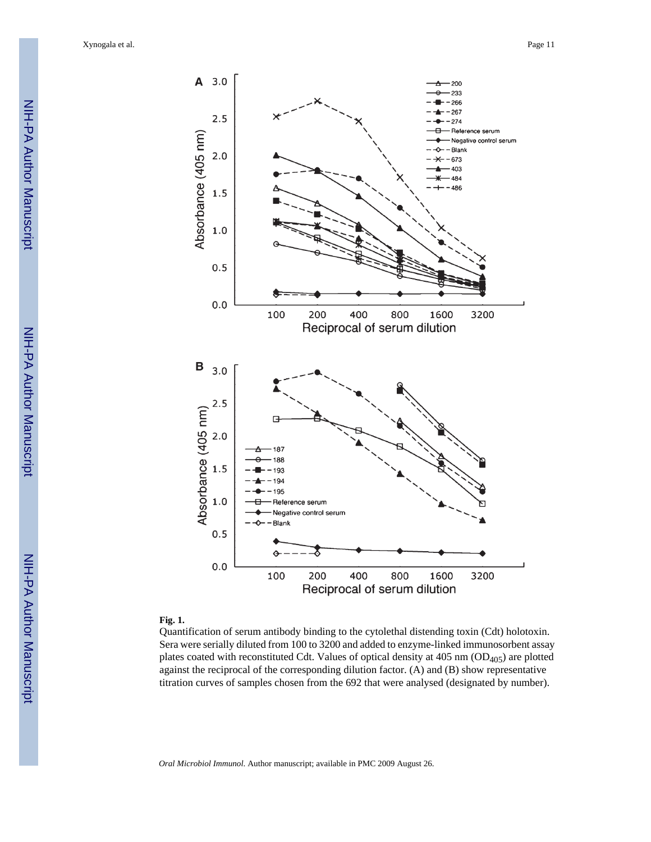Xynogala et al. Page 11



#### **Fig. 1.**

Quantification of serum antibody binding to the cytolethal distending toxin (Cdt) holotoxin. Sera were serially diluted from 100 to 3200 and added to enzyme-linked immunosorbent assay plates coated with reconstituted Cdt. Values of optical density at  $405 \text{ nm}$  (OD<sub>405</sub>) are plotted against the reciprocal of the corresponding dilution factor. (A) and (B) show representative titration curves of samples chosen from the 692 that were analysed (designated by number).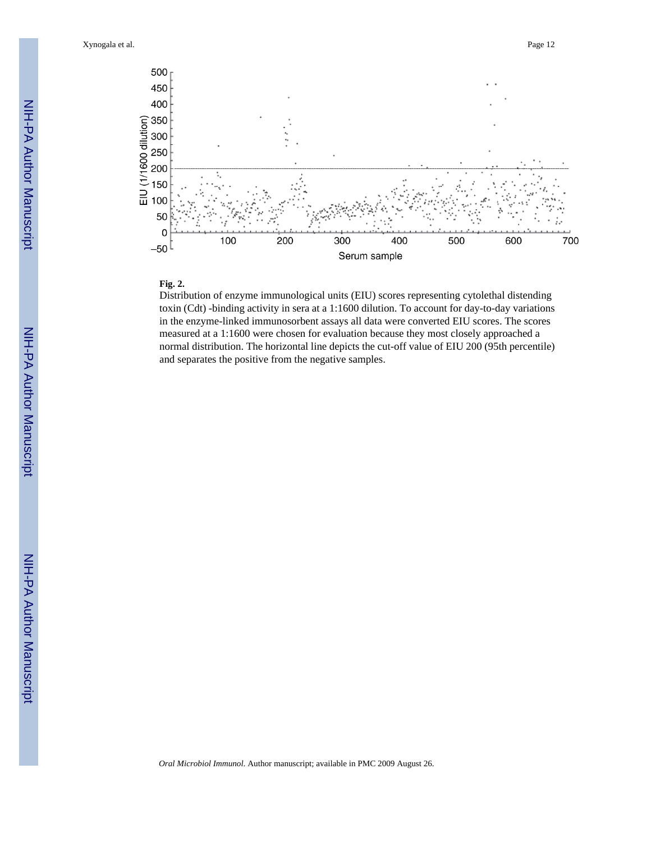Xynogala et al. Page 12



#### **Fig. 2.**

Distribution of enzyme immunological units (EIU) scores representing cytolethal distending toxin (Cdt) -binding activity in sera at a 1:1600 dilution. To account for day-to-day variations in the enzyme-linked immunosorbent assays all data were converted EIU scores. The scores measured at a 1:1600 were chosen for evaluation because they most closely approached a normal distribution. The horizontal line depicts the cut-off value of EIU 200 (95th percentile) and separates the positive from the negative samples.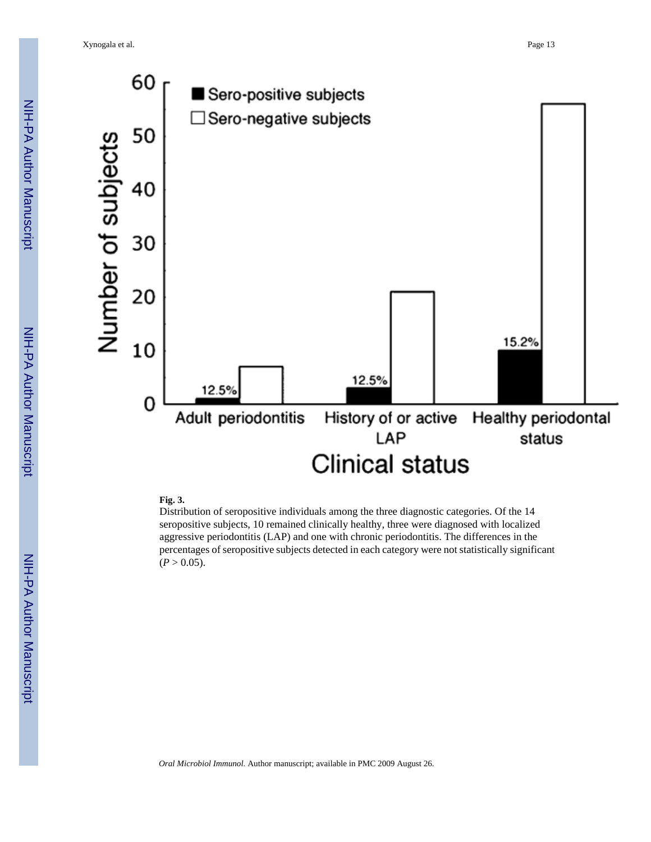Xynogala et al. Page 13



#### **Fig. 3.**

Distribution of seropositive individuals among the three diagnostic categories. Of the 14 seropositive subjects, 10 remained clinically healthy, three were diagnosed with localized aggressive periodontitis (LAP) and one with chronic periodontitis. The differences in the percentages of seropositive subjects detected in each category were not statistically significant  $(P > 0.05)$ .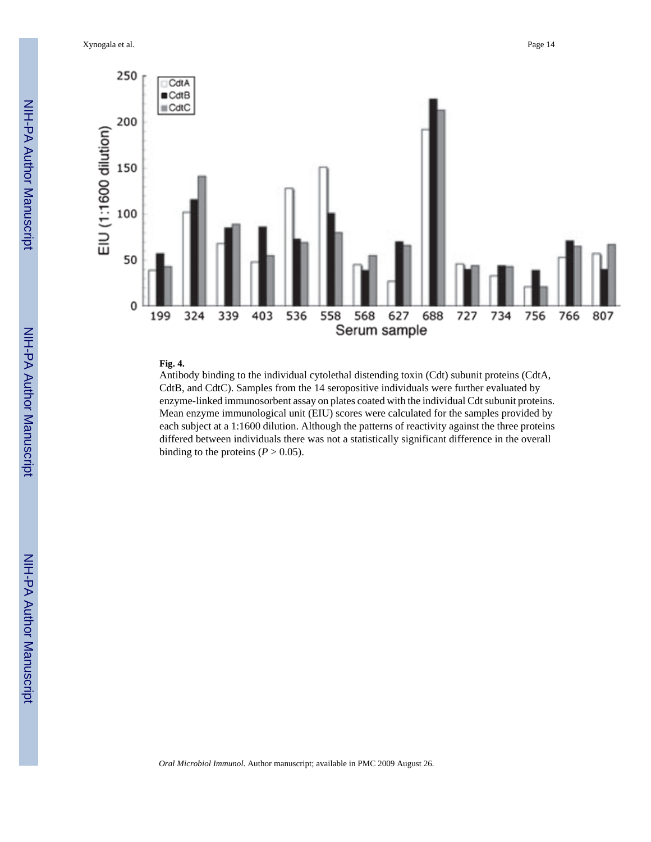

#### **Fig. 4.**

Antibody binding to the individual cytolethal distending toxin (Cdt) subunit proteins (CdtA, CdtB, and CdtC). Samples from the 14 seropositive individuals were further evaluated by enzyme-linked immunosorbent assay on plates coated with the individual Cdt subunit proteins. Mean enzyme immunological unit (EIU) scores were calculated for the samples provided by each subject at a 1:1600 dilution. Although the patterns of reactivity against the three proteins differed between individuals there was not a statistically significant difference in the overall binding to the proteins  $(P > 0.05)$ .